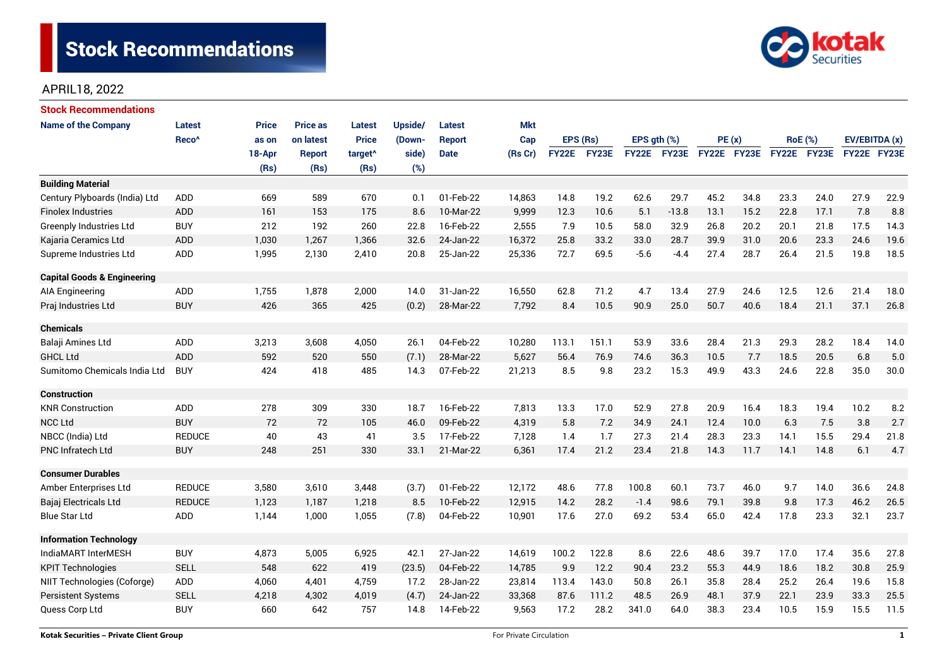

# APRIL18, 2022

| <b>Stock Recommendations</b>           |                   |              |                 |                     |         |               |            |              |       |                  |                    |             |      |                |      |               |      |
|----------------------------------------|-------------------|--------------|-----------------|---------------------|---------|---------------|------------|--------------|-------|------------------|--------------------|-------------|------|----------------|------|---------------|------|
| <b>Name of the Company</b>             | <b>Latest</b>     | <b>Price</b> | <b>Price as</b> | <b>Latest</b>       | Upside/ | <b>Latest</b> | <b>Mkt</b> |              |       |                  |                    |             |      |                |      |               |      |
|                                        | Reco <sup>^</sup> | as on        | on latest       | <b>Price</b>        | (Down-  | <b>Report</b> | Cap        | EPS (Rs)     |       | EPS $qth$ $(\%)$ |                    | PE(x)       |      | <b>RoE</b> (%) |      | EV/EBITDA (x) |      |
|                                        |                   | 18-Apr       | <b>Report</b>   | target <sup>^</sup> | side)   | <b>Date</b>   | (Rs Cr)    | <b>FY22E</b> | FY23E |                  | <b>FY22E FY23E</b> | FY22E FY23E |      | FY22E FY23E    |      | FY22E FY23E   |      |
|                                        |                   | (Rs)         | (Rs)            | (Rs)                | (%)     |               |            |              |       |                  |                    |             |      |                |      |               |      |
| <b>Building Material</b>               |                   |              |                 |                     |         |               |            |              |       |                  |                    |             |      |                |      |               |      |
| Century Plyboards (India) Ltd          | <b>ADD</b>        | 669          | 589             | 670                 | 0.1     | 01-Feb-22     | 14,863     | 14.8         | 19.2  | 62.6             | 29.7               | 45.2        | 34.8 | 23.3           | 24.0 | 27.9          | 22.9 |
| <b>Finolex Industries</b>              | ADD               | 161          | 153             | 175                 | 8.6     | 10-Mar-22     | 9,999      | 12.3         | 10.6  | 5.1              | $-13.8$            | 13.1        | 15.2 | 22.8           | 17.1 | 7.8           | 8.8  |
| <b>Greenply Industries Ltd</b>         | <b>BUY</b>        | 212          | 192             | 260                 | 22.8    | 16-Feb-22     | 2,555      | 7.9          | 10.5  | 58.0             | 32.9               | 26.8        | 20.2 | 20.1           | 21.8 | 17.5          | 14.3 |
| Kajaria Ceramics Ltd                   | <b>ADD</b>        | 1,030        | 1,267           | 1,366               | 32.6    | 24-Jan-22     | 16,372     | 25.8         | 33.2  | 33.0             | 28.7               | 39.9        | 31.0 | 20.6           | 23.3 | 24.6          | 19.6 |
| Supreme Industries Ltd                 | ADD               | 1,995        | 2,130           | 2,410               | 20.8    | 25-Jan-22     | 25,336     | 72.7         | 69.5  | $-5.6$           | $-4.4$             | 27.4        | 28.7 | 26.4           | 21.5 | 19.8          | 18.5 |
| <b>Capital Goods &amp; Engineering</b> |                   |              |                 |                     |         |               |            |              |       |                  |                    |             |      |                |      |               |      |
| <b>AIA Engineering</b>                 | ADD               | 1,755        | 1,878           | 2,000               | 14.0    | 31-Jan-22     | 16,550     | 62.8         | 71.2  | 4.7              | 13.4               | 27.9        | 24.6 | 12.5           | 12.6 | 21.4          | 18.0 |
| Praj Industries Ltd                    | <b>BUY</b>        | 426          | 365             | 425                 | (0.2)   | 28-Mar-22     | 7,792      | 8.4          | 10.5  | 90.9             | 25.0               | 50.7        | 40.6 | 18.4           | 21.1 | 37.1          | 26.8 |
| <b>Chemicals</b>                       |                   |              |                 |                     |         |               |            |              |       |                  |                    |             |      |                |      |               |      |
| Balaji Amines Ltd                      | ADD               | 3,213        | 3,608           | 4,050               | 26.1    | 04-Feb-22     | 10,280     | 113.1        | 151.1 | 53.9             | 33.6               | 28.4        | 21.3 | 29.3           | 28.2 | 18.4          | 14.0 |
| <b>GHCL Ltd</b>                        | <b>ADD</b>        | 592          | 520             | 550                 | (7.1)   | 28-Mar-22     | 5,627      | 56.4         | 76.9  | 74.6             | 36.3               | 10.5        | 7.7  | 18.5           | 20.5 | 6.8           | 5.0  |
| Sumitomo Chemicals India Ltd           | <b>BUY</b>        | 424          | 418             | 485                 | 14.3    | 07-Feb-22     | 21,213     | 8.5          | 9.8   | 23.2             | 15.3               | 49.9        | 43.3 | 24.6           | 22.8 | 35.0          | 30.0 |
| <b>Construction</b>                    |                   |              |                 |                     |         |               |            |              |       |                  |                    |             |      |                |      |               |      |
| <b>KNR Construction</b>                | ADD               | 278          | 309             | 330                 | 18.7    | 16-Feb-22     | 7,813      | 13.3         | 17.0  | 52.9             | 27.8               | 20.9        | 16.4 | 18.3           | 19.4 | 10.2          | 8.2  |
| <b>NCC Ltd</b>                         | <b>BUY</b>        | 72           | 72              | 105                 | 46.0    | 09-Feb-22     | 4,319      | 5.8          | 7.2   | 34.9             | 24.1               | 12.4        | 10.0 | 6.3            | 7.5  | 3.8           | 2.7  |
| NBCC (India) Ltd                       | <b>REDUCE</b>     | 40           | 43              | 41                  | 3.5     | 17-Feb-22     | 7,128      | 1.4          | 1.7   | 27.3             | 21.4               | 28.3        | 23.3 | 14.1           | 15.5 | 29.4          | 21.8 |
| PNC Infratech Ltd                      | <b>BUY</b>        | 248          | 251             | 330                 | 33.1    | 21-Mar-22     | 6,361      | 17.4         | 21.2  | 23.4             | 21.8               | 14.3        | 11.7 | 14.1           | 14.8 | 6.1           | 4.7  |
| <b>Consumer Durables</b>               |                   |              |                 |                     |         |               |            |              |       |                  |                    |             |      |                |      |               |      |
| Amber Enterprises Ltd                  | <b>REDUCE</b>     | 3,580        | 3,610           | 3,448               | (3.7)   | 01-Feb-22     | 12,172     | 48.6         | 77.8  | 100.8            | 60.1               | 73.7        | 46.0 | 9.7            | 14.0 | 36.6          | 24.8 |
| Bajaj Electricals Ltd                  | <b>REDUCE</b>     | 1,123        | 1,187           | 1,218               | 8.5     | 10-Feb-22     | 12,915     | 14.2         | 28.2  | $-1.4$           | 98.6               | 79.1        | 39.8 | 9.8            | 17.3 | 46.2          | 26.5 |
| <b>Blue Star Ltd</b>                   | <b>ADD</b>        | 1,144        | 1,000           | 1,055               | (7.8)   | 04-Feb-22     | 10,901     | 17.6         | 27.0  | 69.2             | 53.4               | 65.0        | 42.4 | 17.8           | 23.3 | 32.1          | 23.7 |
| <b>Information Technology</b>          |                   |              |                 |                     |         |               |            |              |       |                  |                    |             |      |                |      |               |      |
| IndiaMART InterMESH                    | <b>BUY</b>        | 4,873        | 5,005           | 6,925               | 42.1    | 27-Jan-22     | 14,619     | 100.2        | 122.8 | 8.6              | 22.6               | 48.6        | 39.7 | 17.0           | 17.4 | 35.6          | 27.8 |
| <b>KPIT Technologies</b>               | <b>SELL</b>       | 548          | 622             | 419                 | (23.5)  | 04-Feb-22     | 14,785     | 9.9          | 12.2  | 90.4             | 23.2               | 55.3        | 44.9 | 18.6           | 18.2 | 30.8          | 25.9 |
| NIIT Technologies (Coforge)            | ADD               | 4,060        | 4,401           | 4,759               | 17.2    | 28-Jan-22     | 23,814     | 113.4        | 143.0 | 50.8             | 26.1               | 35.8        | 28.4 | 25.2           | 26.4 | 19.6          | 15.8 |
| <b>Persistent Systems</b>              | <b>SELL</b>       | 4,218        | 4,302           | 4,019               | (4.7)   | 24-Jan-22     | 33,368     | 87.6         | 111.2 | 48.5             | 26.9               | 48.1        | 37.9 | 22.1           | 23.9 | 33.3          | 25.5 |
| Quess Corp Ltd                         | <b>BUY</b>        | 660          | 642             | 757                 | 14.8    | 14-Feb-22     | 9,563      | 17.2         | 28.2  | 341.0            | 64.0               | 38.3        | 23.4 | 10.5           | 15.9 | 15.5          | 11.5 |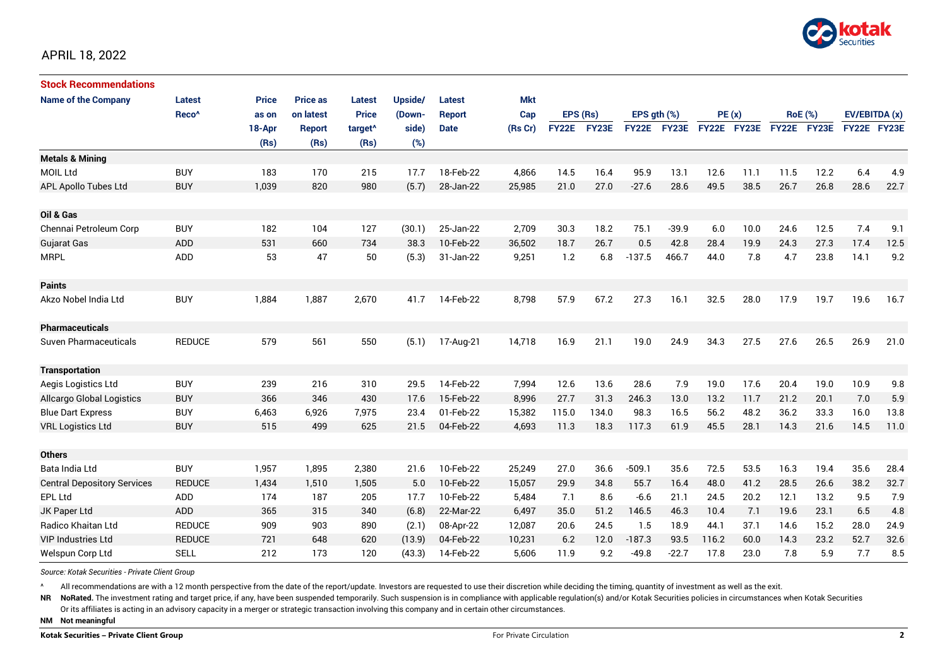

# APRIL 18, 2022

| <b>Stock Recommendations</b>       |                   |              |                 |                     |         |               |            |              |       |                  |         |             |      |                |       |               |      |
|------------------------------------|-------------------|--------------|-----------------|---------------------|---------|---------------|------------|--------------|-------|------------------|---------|-------------|------|----------------|-------|---------------|------|
| <b>Name of the Company</b>         | <b>Latest</b>     | <b>Price</b> | <b>Price as</b> | <b>Latest</b>       | Upside/ | Latest        | <b>Mkt</b> |              |       |                  |         |             |      |                |       |               |      |
|                                    | Reco <sup>^</sup> | as on        | on latest       | <b>Price</b>        | (Down-  | <b>Report</b> | Cap        | EPS (Rs)     |       | EPS $qth$ $(\%)$ |         | PE(x)       |      | <b>RoE</b> (%) |       | EV/EBITDA (x) |      |
|                                    |                   | 18-Apr       | <b>Report</b>   | target <sup>^</sup> | side)   | <b>Date</b>   | (Rs Cr)    | <b>FY22E</b> | FY23E | <b>FY22E</b>     | FY23E   | FY22E FY23E |      | <b>FY22E</b>   | FY23E | FY22E FY23E   |      |
|                                    |                   | (Rs)         | (Rs)            | (Rs)                | (%)     |               |            |              |       |                  |         |             |      |                |       |               |      |
| <b>Metals &amp; Mining</b>         |                   |              |                 |                     |         |               |            |              |       |                  |         |             |      |                |       |               |      |
| <b>MOIL Ltd</b>                    | <b>BUY</b>        | 183          | 170             | 215                 | 17.7    | 18-Feb-22     | 4,866      | 14.5         | 16.4  | 95.9             | 13.1    | 12.6        | 11.1 | 11.5           | 12.2  | 6.4           | 4.9  |
| APL Apollo Tubes Ltd               | <b>BUY</b>        | 1,039        | 820             | 980                 | (5.7)   | 28-Jan-22     | 25,985     | 21.0         | 27.0  | $-27.6$          | 28.6    | 49.5        | 38.5 | 26.7           | 26.8  | 28.6          | 22.7 |
|                                    |                   |              |                 |                     |         |               |            |              |       |                  |         |             |      |                |       |               |      |
| Oil & Gas                          |                   |              |                 |                     |         |               |            |              |       |                  |         |             |      |                |       |               |      |
| Chennai Petroleum Corp             | <b>BUY</b>        | 182          | 104             | 127                 | (30.1)  | 25-Jan-22     | 2,709      | 30.3         | 18.2  | 75.1             | $-39.9$ | 6.0         | 10.0 | 24.6           | 12.5  | 7.4           | 9.1  |
| <b>Gujarat Gas</b>                 | ADD               | 531          | 660             | 734                 | 38.3    | 10-Feb-22     | 36,502     | 18.7         | 26.7  | 0.5              | 42.8    | 28.4        | 19.9 | 24.3           | 27.3  | 17.4          | 12.5 |
| <b>MRPL</b>                        | ADD               | 53           | 47              | 50                  | (5.3)   | 31-Jan-22     | 9,251      | 1.2          | 6.8   | $-137.5$         | 466.7   | 44.0        | 7.8  | 4.7            | 23.8  | 14.1          | 9.2  |
|                                    |                   |              |                 |                     |         |               |            |              |       |                  |         |             |      |                |       |               |      |
| <b>Paints</b>                      |                   |              |                 |                     |         |               |            |              |       |                  |         |             |      |                |       |               |      |
| Akzo Nobel India Ltd               | <b>BUY</b>        | 1,884        | 1,887           | 2,670               | 41.7    | 14-Feb-22     | 8,798      | 57.9         | 67.2  | 27.3             | 16.1    | 32.5        | 28.0 | 17.9           | 19.7  | 19.6          | 16.7 |
|                                    |                   |              |                 |                     |         |               |            |              |       |                  |         |             |      |                |       |               |      |
| <b>Pharmaceuticals</b>             |                   |              |                 |                     |         |               |            |              |       |                  |         |             |      |                |       |               |      |
| Suven Pharmaceuticals              | <b>REDUCE</b>     | 579          | 561             | 550                 | (5.1)   | 17-Aug-21     | 14,718     | 16.9         | 21.1  | 19.0             | 24.9    | 34.3        | 27.5 | 27.6           | 26.5  | 26.9          | 21.0 |
|                                    |                   |              |                 |                     |         |               |            |              |       |                  |         |             |      |                |       |               |      |
| <b>Transportation</b>              |                   |              |                 |                     |         |               |            |              |       |                  |         |             |      |                |       |               |      |
| Aegis Logistics Ltd                | <b>BUY</b>        | 239          | 216             | 310                 | 29.5    | 14-Feb-22     | 7,994      | 12.6         | 13.6  | 28.6             | 7.9     | 19.0        | 17.6 | 20.4           | 19.0  | 10.9          | 9.8  |
| <b>Allcargo Global Logistics</b>   | <b>BUY</b>        | 366          | 346             | 430                 | 17.6    | 15-Feb-22     | 8,996      | 27.7         | 31.3  | 246.3            | 13.0    | 13.2        | 11.7 | 21.2           | 20.1  | 7.0           | 5.9  |
| <b>Blue Dart Express</b>           | <b>BUY</b>        | 6,463        | 6,926           | 7,975               | 23.4    | 01-Feb-22     | 15,382     | 115.0        | 134.0 | 98.3             | 16.5    | 56.2        | 48.2 | 36.2           | 33.3  | 16.0          | 13.8 |
| <b>VRL Logistics Ltd</b>           | <b>BUY</b>        | 515          | 499             | 625                 | 21.5    | 04-Feb-22     | 4,693      | 11.3         | 18.3  | 117.3            | 61.9    | 45.5        | 28.1 | 14.3           | 21.6  | 14.5          | 11.0 |
|                                    |                   |              |                 |                     |         |               |            |              |       |                  |         |             |      |                |       |               |      |
| <b>Others</b>                      |                   |              |                 |                     |         |               |            |              |       |                  |         |             |      |                |       |               |      |
| Bata India Ltd                     | <b>BUY</b>        | 1,957        | 1,895           | 2,380               | 21.6    | 10-Feb-22     | 25,249     | 27.0         | 36.6  | $-509.1$         | 35.6    | 72.5        | 53.5 | 16.3           | 19.4  | 35.6          | 28.4 |
| <b>Central Depository Services</b> | <b>REDUCE</b>     | 1,434        | 1,510           | 1,505               | 5.0     | 10-Feb-22     | 15,057     | 29.9         | 34.8  | 55.7             | 16.4    | 48.0        | 41.2 | 28.5           | 26.6  | 38.2          | 32.7 |
| <b>EPL Ltd</b>                     | ADD               | 174          | 187             | 205                 | 17.7    | 10-Feb-22     | 5,484      | 7.1          | 8.6   | $-6.6$           | 21.1    | 24.5        | 20.2 | 12.1           | 13.2  | 9.5           | 7.9  |
| JK Paper Ltd                       | ADD               | 365          | 315             | 340                 | (6.8)   | 22-Mar-22     | 6,497      | 35.0         | 51.2  | 146.5            | 46.3    | 10.4        | 7.1  | 19.6           | 23.1  | 6.5           | 4.8  |
| Radico Khaitan Ltd                 | <b>REDUCE</b>     | 909          | 903             | 890                 | (2.1)   | 08-Apr-22     | 12,087     | 20.6         | 24.5  | 1.5              | 18.9    | 44.1        | 37.1 | 14.6           | 15.2  | 28.0          | 24.9 |
| <b>VIP Industries Ltd</b>          | <b>REDUCE</b>     | 721          | 648             | 620                 | (13.9)  | 04-Feb-22     | 10,231     | 6.2          | 12.0  | $-187.3$         | 93.5    | 116.2       | 60.0 | 14.3           | 23.2  | 52.7          | 32.6 |
| Welspun Corp Ltd                   | <b>SELL</b>       | 212          | 173             | 120                 | (43.3)  | 14-Feb-22     | 5,606      | 11.9         | 9.2   | $-49.8$          | $-22.7$ | 17.8        | 23.0 | 7.8            | 5.9   | 7.7           | 8.5  |

*Source: Kotak Securities - Private Client Group*

All recommendations are with a 12 month perspective from the date of the report/update. Investors are requested to use their discretion while deciding the timing, quantity of investment as well as the exit.

NR NoRated. The investment rating and target price, if any, have been suspended temporarily. Such suspension is in compliance with applicable regulation(s) and/or Kotak Securities policies in circumstances when Kotak Secur

Or its affiliates is acting in an advisory capacity in a merger or strategic transaction involving this company and in certain other circumstances.

**NM Not meaningful**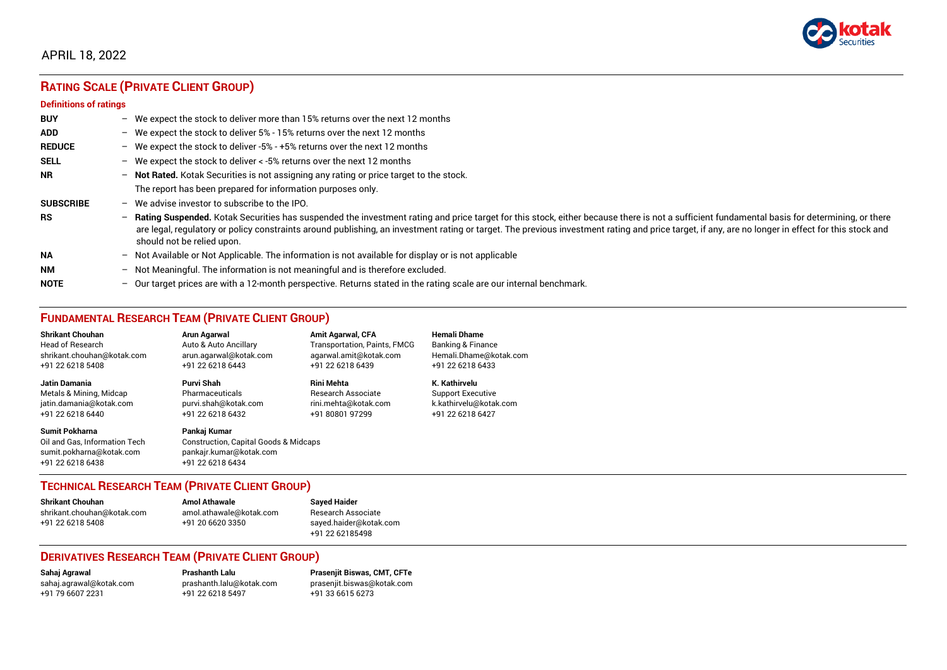

# APRIL 18, 2022

# **RATING SCALE (PRIVATE CLIENT GROUP)**

#### **Definitions of ratings**

| <b>BUY</b>       | $-$                      | We expect the stock to deliver more than 15% returns over the next 12 months                                                                                                                                                                                                                                                                                                                                                     |
|------------------|--------------------------|----------------------------------------------------------------------------------------------------------------------------------------------------------------------------------------------------------------------------------------------------------------------------------------------------------------------------------------------------------------------------------------------------------------------------------|
| <b>ADD</b>       |                          | - We expect the stock to deliver $5\%$ - 15% returns over the next 12 months                                                                                                                                                                                                                                                                                                                                                     |
| <b>REDUCE</b>    |                          | - We expect the stock to deliver -5% - +5% returns over the next 12 months                                                                                                                                                                                                                                                                                                                                                       |
| <b>SELL</b>      |                          | - We expect the stock to deliver $\lt$ -5% returns over the next 12 months                                                                                                                                                                                                                                                                                                                                                       |
| <b>NR</b>        | $-$                      | Not Rated. Kotak Securities is not assigning any rating or price target to the stock.                                                                                                                                                                                                                                                                                                                                            |
|                  |                          | The report has been prepared for information purposes only.                                                                                                                                                                                                                                                                                                                                                                      |
| <b>SUBSCRIBE</b> | $-$                      | We advise investor to subscribe to the IPO.                                                                                                                                                                                                                                                                                                                                                                                      |
| <b>RS</b>        | $-$                      | Rating Suspended. Kotak Securities has suspended the investment rating and price target for this stock, either because there is not a sufficient fundamental basis for determining, or there<br>are legal, regulatory or policy constraints around publishing, an investment rating or target. The previous investment rating and price target, if any, are no longer in effect for this stock and<br>should not be relied upon. |
| <b>NA</b>        |                          | - Not Available or Not Applicable. The information is not available for display or is not applicable                                                                                                                                                                                                                                                                                                                             |
| <b>NM</b>        | $\overline{\phantom{0}}$ | Not Meaningful. The information is not meaningful and is therefore excluded.                                                                                                                                                                                                                                                                                                                                                     |
| <b>NOTE</b>      | $-$                      | Our target prices are with a 12-month perspective. Returns stated in the rating scale are our internal benchmark.                                                                                                                                                                                                                                                                                                                |

# **FUNDAMENTAL RESEARCH TEAM (PRIVATE CLIENT GROUP)**

| <b>Shrikant Chouhan</b>                                                                                | Arun Agarwal                                                                                                    | <b>Amit Agarwal, CFA</b>            | <b>Hemali Dhame</b>          |
|--------------------------------------------------------------------------------------------------------|-----------------------------------------------------------------------------------------------------------------|-------------------------------------|------------------------------|
| <b>Head of Research</b>                                                                                | Auto & Auto Ancillary                                                                                           | <b>Transportation, Paints, FMCG</b> | <b>Banking &amp; Finance</b> |
| shrikant.chouhan@kotak.com                                                                             | arun.agarwal@kotak.com                                                                                          | agarwal.amit@kotak.com              | Hemali.Dhame@kotak.com       |
| +91 22 6218 5408                                                                                       | +91 22 6218 6443                                                                                                | +91 22 6218 6439                    | +91 22 6218 6433             |
| <b>Jatin Damania</b>                                                                                   | Purvi Shah                                                                                                      | <b>Rini Mehta</b>                   | K. Kathirvelu                |
| Metals & Mining, Midcap                                                                                | Pharmaceuticals                                                                                                 | <b>Research Associate</b>           | <b>Support Executive</b>     |
| jatin.damania@kotak.com                                                                                | purvi.shah@kotak.com                                                                                            | rini.mehta@kotak.com                | k.kathirvelu@kotak.com       |
| +91 22 6218 6440                                                                                       | +91 22 6218 6432                                                                                                | +91 80801 97299                     | +91 22 6218 6427             |
| <b>Sumit Pokharna</b><br>Oil and Gas. Information Tech<br>sumit.pokharna@kotak.com<br>+91 22 6218 6438 | Pankaj Kumar<br><b>Construction, Capital Goods &amp; Midcaps</b><br>pankajr.kumar@kotak.com<br>+91 22 6218 6434 |                                     |                              |

#### **TECHNICAL RESEARCH TEAM (PRIVATE CLIENT GROUP)**

| <b>Shrikant Chouhan</b>    | <b>Amol Athawale</b>    |  |
|----------------------------|-------------------------|--|
| shrikant.chouhan@kotak.com | amol.athawale@kotak.com |  |
| +91 22 6218 5408           | +91 20 6620 3350        |  |
|                            |                         |  |

**Sayed Haider** Research Associate [sayed.haider@kotak.com](mailto:sayed.haider@kotak.com) +91 22 62185498

#### **DERIVATIVES RESEARCH TEAM (PRIVATE CLIENT GROUP)**

+91 22 6218 5497 +91 33 6615 6273

**Sahaj Agrawal Prashanth Lalu Prasenjit Biswas, CMT, CFTe** [sahaj.agrawal@kotak.com](mailto:sahaj.agrawal@kotak.com) [prashanth.lalu@kotak.com](mailto:prashanth.lalu@kotak.com) [prasenjit.biswas@kotak.com](mailto:prasenjit.biswas@kotak.com)